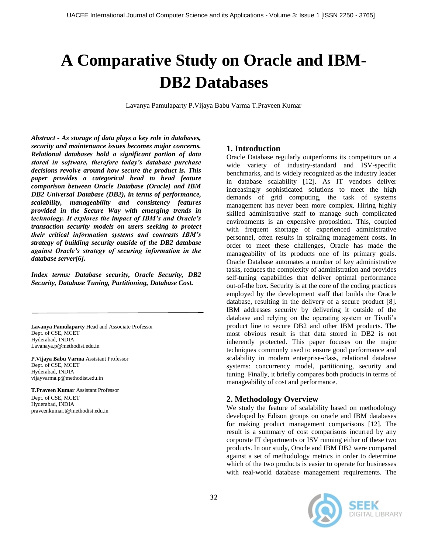# **A Comparative Study on Oracle and IBM-DB2 Databases**

Lavanya Pamulaparty P.Vijaya Babu Varma T.Praveen Kumar

*Abstract - As storage of data plays a key role in databases, security and maintenance issues becomes major concerns. Relational databases hold a significant portion of data stored in software, therefore today's database purchase decisions revolve around how secure the product is. This paper provides a categorical head to head feature comparison between Oracle Database (Oracle) and IBM DB2 Universal Database (DB2), in terms of performance, scalability, manageability and consistency features provided in the Secure Way with emerging trends in technology. It explores the impact of IBM's and Oracle's transaction security models on users seeking to protect their critical information systems and contrasts IBM's strategy of building security outside of the DB2 database against Oracle's strategy of securing information in the database server[6].*

*Index terms: Database security, Oracle Security, DB2 Security, Database Tuning, Partitioning, Database Cost.*

**Lavanya Pamulaparty** Head and Associate Professor Dept. of CSE, MCET Hyderabad, INDIA Lavanaya.p@methodist.edu.in

**P.Vijaya Babu Varma** Assistant Professor Dept. of CSE, MCET Hyderabad, INDIA vijayvarma.p@methodist.edu.in

**T.Praveen Kumar** Assistant Professor Dept. of CSE, MCET Hyderabad, INDIA praveenkumar.t@methodist.edu.in

# **1. Introduction**

Oracle Database regularly outperforms its competitors on a wide variety of industry-standard and ISV-specific benchmarks, and is widely recognized as the industry leader in database scalability [12]. As IT vendors deliver increasingly sophisticated solutions to meet the high demands of grid computing, the task of systems management has never been more complex. Hiring highly skilled administrative staff to manage such complicated environments is an expensive proposition. This, coupled with frequent shortage of experienced administrative personnel, often results in spiraling management costs. In order to meet these challenges, Oracle has made the manageability of its products one of its primary goals. Oracle Database automates a number of key administrative tasks, reduces the complexity of administration and provides self-tuning capabilities that deliver optimal performance out-of-the box. Security is at the core of the coding practices employed by the development staff that builds the Oracle database, resulting in the delivery of a secure product [8]. IBM addresses security by delivering it outside of the database and relying on the operating system or Tivoli's product line to secure DB2 and other IBM products. The most obvious result is that data stored in DB2 is not inherently protected. This paper focuses on the major techniques commonly used to ensure good performance and scalability in modern enterprise-class, relational database systems: concurrency model, partitioning, security and tuning. Finally, it briefly compares both products in terms of manageability of cost and performance.

# **2. Methodology Overview**

We study the feature of scalability based on methodology developed by Edison groups on oracle and IBM databases for making product management comparisons [12]. The result is a summary of cost comparisons incurred by any corporate IT departments or ISV running either of these two products. In our study, Oracle and IBM DB2 were compared against a set of methodology metrics in order to determine which of the two products is easier to operate for businesses with real‐world database management requirements. The

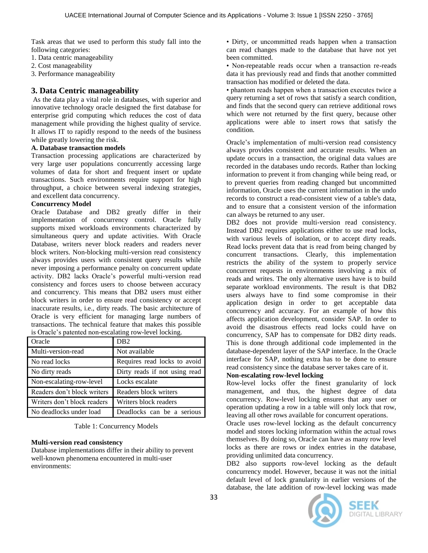Task areas that we used to perform this study fall into the following categories:

- 1. Data centric manageability
- 2. Cost manageability
- 3. Performance manageability

# **3. Data Centric manageability**

As the data play a vital role in databases, with superior and innovative technology oracle designed the first database for enterprise grid computing which reduces the cost of data management while providing the highest quality of service. It allows IT to rapidly respond to the needs of the business while greatly lowering the risk.

#### **A. Database transaction models**

Transaction processing applications are characterized by very large user populations concurrently accessing large volumes of data for short and frequent insert or update transactions. Such environments require support for high throughput, a choice between several indexing strategies, and excellent data concurrency.

## **Concurrency Model**

Oracle Database and DB2 greatly differ in their implementation of concurrency control. Oracle fully supports mixed workloads environments characterized by simultaneous query and update activities. With Oracle Database, writers never block readers and readers never block writers. Non-blocking multi-version read consistency always provides users with consistent query results while never imposing a performance penalty on concurrent update activity. DB2 lacks Oracle's powerful multi-version read consistency and forces users to choose between accuracy and concurrency. This means that DB2 users must either block writers in order to ensure read consistency or accept inaccurate results, i.e., dirty reads. The basic architecture of Oracle is very efficient for managing large numbers of transactions. The technical feature that makes this possible is Oracle's patented non-escalating row-level locking.

| Oracle                      | D <sub>B</sub> 2              |  |
|-----------------------------|-------------------------------|--|
| Multi-version-read          | Not available                 |  |
| No read locks               | Requires read locks to avoid  |  |
| No dirty reads              | Dirty reads if not using read |  |
| Non-escalating-row-level    | Locks escalate                |  |
| Readers don't block writers | Readers block writers         |  |
| Writers don't block readers | Writers block readers         |  |
| No deadlocks under load     | Deadlocks can be a serious    |  |
|                             |                               |  |

Table 1: Concurrency Models

#### **Multi-version read consistency**

Database implementations differ in their ability to prevent well-known phenomena encountered in multi-user environments:

• Dirty, or uncommitted reads happen when a transaction can read changes made to the database that have not yet been committed.

• Non-repeatable reads occur when a transaction re-reads data it has previously read and finds that another committed transaction has modified or deleted the data.

• phantom reads happen when a transaction executes twice a query returning a set of rows that satisfy a search condition, and finds that the second query can retrieve additional rows which were not returned by the first query, because other applications were able to insert rows that satisfy the condition.

Oracle's implementation of multi-version read consistency always provides consistent and accurate results. When an update occurs in a transaction, the original data values are recorded in the databases undo records. Rather than locking information to prevent it from changing while being read, or to prevent queries from reading changed but uncommitted information, Oracle uses the current information in the undo records to construct a read-consistent view of a table's data, and to ensure that a consistent version of the information can always be returned to any user.

DB2 does not provide multi-version read consistency. Instead DB2 requires applications either to use read locks, with various levels of isolation, or to accept dirty reads. Read locks prevent data that is read from being changed by concurrent transactions. Clearly, this implementation restricts the ability of the system to properly service concurrent requests in environments involving a mix of reads and writes. The only alternative users have is to build separate workload environments. The result is that DB2 users always have to find some compromise in their application design in order to get acceptable data concurrency and accuracy. For an example of how this affects application development, consider SAP. In order to avoid the disastrous effects read locks could have on concurrency, SAP has to compensate for DB2 dirty reads. This is done through additional code implemented in the database-dependent layer of the SAP interface. In the Oracle interface for SAP, nothing extra has to be done to ensure read consistency since the database server takes care of it.

## **Non-escalating row-level locking**

Row-level locks offer the finest granularity of lock management, and thus, the highest degree of data concurrency. Row-level locking ensures that any user or operation updating a row in a table will only lock that row, leaving all other rows available for concurrent operations.

Oracle uses row-level locking as the default concurrency model and stores locking information within the actual rows themselves. By doing so, Oracle can have as many row level locks as there are rows or index entries in the database, providing unlimited data concurrency.

DB2 also supports row-level locking as the default concurrency model. However, because it was not the initial default level of lock granularity in earlier versions of the database, the late addition of row-level locking was made



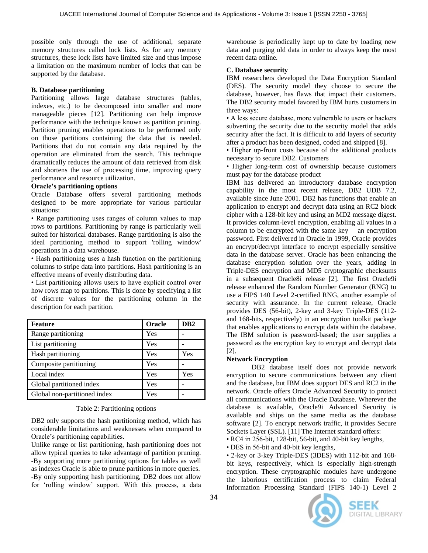possible only through the use of additional, separate memory structures called lock lists. As for any memory structures, these lock lists have limited size and thus impose a limitation on the maximum number of locks that can be supported by the database.

## **B. Database partitioning**

Partitioning allows large database structures (tables, indexes, etc.) to be decomposed into smaller and more manageable pieces [12]. Partitioning can help improve performance with the technique known as partition pruning. Partition pruning enables operations to be performed only on those partitions containing the data that is needed. Partitions that do not contain any data required by the operation are eliminated from the search. This technique dramatically reduces the amount of data retrieved from disk and shortens the use of processing time, improving query performance and resource utilization.

## **Oracle's partitioning options**

Oracle Database offers several partitioning methods designed to be more appropriate for various particular situations:

• Range partitioning uses ranges of column values to map rows to partitions. Partitioning by range is particularly well suited for historical databases. Range partitioning is also the ideal partitioning method to support 'rolling window' operations in a data warehouse.

• Hash partitioning uses a hash function on the partitioning columns to stripe data into partitions. Hash partitioning is an effective means of evenly distributing data.

• List partitioning allows users to have explicit control over how rows map to partitions. This is done by specifying a list of discrete values for the partitioning column in the description for each partition.

| <b>Feature</b>               | Oracle | D <sub>B</sub> 2 |
|------------------------------|--------|------------------|
| Range partitioning           | Yes    |                  |
| List partitioning            | Yes    |                  |
| Hash partitioning            | Yes    | Yes              |
| Composite partitioning       | Yes    |                  |
| Local index                  | Yes    | Yes              |
| Global partitioned index     | Yes    |                  |
| Global non-partitioned index | Yes    |                  |

#### Table 2: Partitioning options

DB2 only supports the hash partitioning method, which has considerable limitations and weaknesses when compared to Oracle's partitioning capabilities.

Unlike range or list partitioning, hash partitioning does not allow typical queries to take advantage of partition pruning. -By supporting more partitioning options for tables as well as indexes Oracle is able to prune partitions in more queries. -By only supporting hash partitioning, DB2 does not allow for 'rolling window' support. With this process, a data warehouse is periodically kept up to date by loading new data and purging old data in order to always keep the most recent data online.

## **C. Database security**

IBM researchers developed the Data Encryption Standard (DES). The security model they choose to secure the database, however, has flaws that impact their customers. The DB2 security model favored by IBM hurts customers in three ways:

• A less secure database, more vulnerable to users or hackers subverting the security due to the security model that adds security after the fact. It is difficult to add layers of security after a product has been designed, coded and shipped [8].

• Higher up-front costs because of the additional products necessary to secure DB2. Customers

• Higher long-term cost of ownership because customers must pay for the database product

IBM has delivered an introductory database encryption capability in the most recent release, DB2 UDB 7.2, available since June 2001. DB2 has functions that enable an application to encrypt and decrypt data using an RC2 block cipher with a 128-bit key and using an MD2 message digest. It provides column-level encryption, enabling all values in a column to be encrypted with the same key— an encryption password. First delivered in Oracle in 1999, Oracle provides an encrypt/decrypt interface to encrypt especially sensitive data in the database server. Oracle has been enhancing the database encryption solution over the years, adding in Triple-DES encryption and MD5 cryptographic checksums in a subsequent Oracle8i release [2]. The first Oracle9i release enhanced the Random Number Generator (RNG) to use a FIPS 140 Level 2-certified RNG, another example of security with assurance. In the current release, Oracle provides DES (56-bit), 2-key and 3-key Triple-DES (112 and 168-bits, respectively) in an encryption toolkit package that enables applications to encrypt data within the database. The IBM solution is password-based; the user supplies a password as the encryption key to encrypt and decrypt data [2].

## **Network Encryption**

DB2 database itself does not provide network encryption to secure communications between any client and the database, but IBM does support DES and RC2 in the network. Oracle offers Oracle Advanced Security to protect all communications with the Oracle Database. Wherever the database is available, Oracle9i Advanced Security is available and ships on the same media as the database software [2]. To encrypt network traffic, it provides Secure Sockets Layer (SSL). [11] The Internet standard offers:

• RC4 in 256-bit, 128-bit, 56-bit, and 40-bit key lengths,

• DES in 56-bit and 40-bit key lengths,

• 2-key or 3-key Triple-DES (3DES) with 112-bit and 168 bit keys, respectively, which is especially high-strength encryption. These cryptographic modules have undergone the laborious certification process to claim Federal Information Processing Standard (FIPS 140-1) Level 2



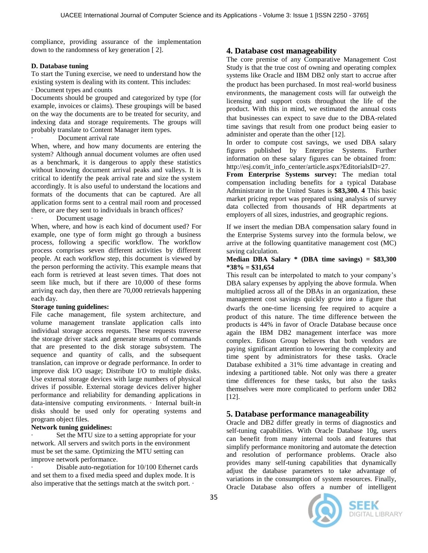compliance, providing assurance of the implementation down to the randomness of key generation [ 2].

#### **D. Database tuning**

To start the Tuning exercise, we need to understand how the existing system is dealing with its content. This includes: · Document types and counts

Documents should be grouped and categorized by type (for example, invoices or claims). These groupings will be based on the way the documents are to be treated for security, and indexing data and storage requirements. The groups will probably translate to Content Manager item types.

Document arrival rate

When, where, and how many documents are entering the system? Although annual document volumes are often used as a benchmark, it is dangerous to apply these statistics without knowing document arrival peaks and valleys. It is critical to identify the peak arrival rate and size the system accordingly. It is also useful to understand the locations and formats of the documents that can be captured. Are all application forms sent to a central mail room and processed there, or are they sent to individuals in branch offices?

Document usage

When, where, and how is each kind of document used? For example, one type of form might go through a business process, following a specific workflow. The workflow process comprises seven different activities by different people. At each workflow step, this document is viewed by the person performing the activity. This example means that each form is retrieved at least seven times. That does not seem like much, but if there are 10,000 of these forms arriving each day, then there are 70,000 retrievals happening each day.

## **Storage tuning guidelines:**

File cache management, file system architecture, and volume management translate application calls into individual storage access requests. These requests traverse the storage driver stack and generate streams of commands that are presented to the disk storage subsystem. The sequence and quantity of calls, and the subsequent translation, can improve or degrade performance. In order to improve disk I/O usage; Distribute I/O to multiple disks. Use external storage devices with large numbers of physical drives if possible. External storage devices deliver higher performance and reliability for demanding applications in data-intensive computing environments. · Internal built-in disks should be used only for operating systems and program object files.

## **Network tuning guidelines:**

Set the MTU size to a setting appropriate for your network. All servers and switch ports in the environment must be set the same. Optimizing the MTU setting can improve network performance.

Disable auto-negotiation for 10/100 Ethernet cards and set them to a fixed media speed and duplex mode. It is also imperative that the settings match at the switch port. ·

# **4. Database cost manageability**

The core premise of any Comparative Management Cost Study is that the true cost of owning and operating complex systems like Oracle and IBM DB2 only start to accrue after the product has been purchased. In most real‐world business environments, the management costs will far outweigh the licensing and support costs throughout the life of the product. With this in mind, we estimated the annual costs that businesses can expect to save due to the DBA‐related time savings that result from one product being easier to administer and operate than the other [12].

In order to compute cost savings, we used DBA salary figures published by Enterprise Systems. Further information on these salary figures can be obtained from: http://esj.com/it\_info\_center/article.aspx?EditorialsID=27.

**From Enterprise Systems survey:** The median total compensation including benefits for a typical Database Administrator in the United States is **\$83,300. 4** This basic market pricing report was prepared using analysis of survey data collected from thousands of HR departments at employers of all sizes, industries, and geographic regions.

If we insert the median DBA compensation salary found in the Enterprise Systems survey into the formula below, we arrive at the following quantitative management cost (MC) saving calculation.

#### **Median DBA Salary \* (DBA time savings) = \$83,300 \*38% = \$31,654**

This result can be interpolated to match to your company's DBA salary expenses by applying the above formula. When multiplied across all of the DBAs in an organization, these management cost savings quickly grow into a figure that dwarfs the one‐time licensing fee required to acquire a product of this nature. The time difference between the products is 44% in favor of Oracle Database because once again the IBM DB2 management interface was more complex. Edison Group believes that both vendors are paying significant attention to lowering the complexity and time spent by administrators for these tasks. Oracle Database exhibited a 31% time advantage in creating and indexing a partitioned table. Not only was there a greater time differences for these tasks, but also the tasks themselves were more complicated to perform under DB2 [12].

# **5. Database performance manageability**

Oracle and DB2 differ greatly in terms of diagnostics and self-tuning capabilities. With Oracle Database 10g, users can benefit from many internal tools and features that simplify performance monitoring and automate the detection and resolution of performance problems. Oracle also provides many self-tuning capabilities that dynamically adjust the database parameters to take advantage of variations in the consumption of system resources. Finally, Oracle Database also offers a number of intelligent



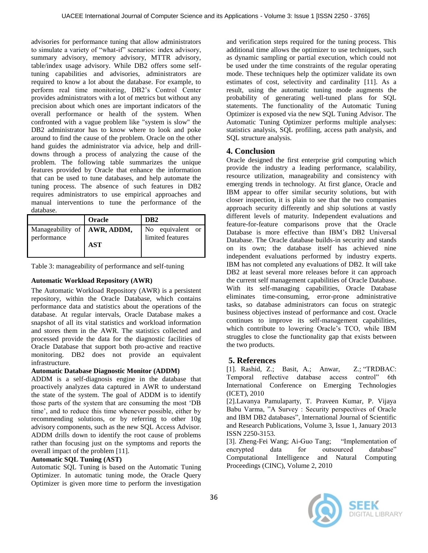advisories for performance tuning that allow administrators to simulate a variety of "what-if" scenarios: index advisory, summary advisory, memory advisory, MTTR advisory, table/index usage advisory. While DB2 offers some selftuning capabilities and advisories, administrators are required to know a lot about the database. For example, to perform real time monitoring, DB2's Control Center provides administrators with a lot of metrics but without any precision about which ones are important indicators of the overall performance or health of the system. When confronted with a vague problem like "system is slow" the DB2 administrator has to know where to look and poke around to find the cause of the problem. Oracle on the other hand guides the administrator via advice, help and drilldowns through a process of analyzing the cause of the problem. The following table summarizes the unique features provided by Oracle that enhance the information that can be used to tune databases, and help automate the tuning process. The absence of such features in DB2 requires administrators to use empirical approaches and manual interventions to tune the performance of the database.

|                                     | Oracle     | D <sub>B</sub> 2 |
|-------------------------------------|------------|------------------|
| Manageability of <b>AWR</b> , ADDM, |            | No equivalent or |
| performance                         | <b>AST</b> | limited features |
|                                     |            |                  |

Table 3: manageability of performance and self-tuning

# **Automatic Workload Repository (AWR)**

The Automatic Workload Repository (AWR) is a persistent repository, within the Oracle Database, which contains performance data and statistics about the operations of the database. At regular intervals, Oracle Database makes a snapshot of all its vital statistics and workload information and stores them in the AWR. The statistics collected and processed provide the data for the diagnostic facilities of Oracle Database that support both pro-active and reactive monitoring. DB2 does not provide an equivalent infrastructure.

# **Automatic Database Diagnostic Monitor (ADDM)**

ADDM is a self-diagnosis engine in the database that proactively analyzes data captured in AWR to understand the state of the system. The goal of ADDM is to identify those parts of the system that are consuming the most 'DB time', and to reduce this time whenever possible, either by recommending solutions, or by referring to other 10g advisory components, such as the new SQL Access Advisor. ADDM drills down to identify the root cause of problems rather than focusing just on the symptoms and reports the overall impact of the problem [11].

## **Automatic SQL Tuning (AST)**

Automatic SQL Tuning is based on the Automatic Tuning Optimizer. In automatic tuning mode, the Oracle Query Optimizer is given more time to perform the investigation

and verification steps required for the tuning process. This additional time allows the optimizer to use techniques, such as dynamic sampling or partial execution, which could not be used under the time constraints of the regular operating mode. These techniques help the optimizer validate its own estimates of cost, selectivity and cardinality [11]. As a result, using the automatic tuning mode augments the probability of generating well-tuned plans for SQL statements. The functionality of the Automatic Tuning Optimizer is exposed via the new SQL Tuning Advisor. The Automatic Tuning Optimizer performs multiple analyses: statistics analysis, SQL profiling, access path analysis, and SQL structure analysis.

# **4. Conclusion**

Oracle designed the first enterprise grid computing which provide the industry a leading performance, scalability, resource utilization, manageability and consistency with emerging trends in technology. At first glance, Oracle and IBM appear to offer similar security solutions, but with closer inspection, it is plain to see that the two companies approach security differently and ship solutions at vastly different levels of maturity. Independent evaluations and feature-for-feature comparisons prove that the Oracle Database is more effective than IBM's DB2 Universal Database. The Oracle database builds-in security and stands on its own; the database itself has achieved nine independent evaluations performed by industry experts. IBM has not completed any evaluations of DB2. It will take DB2 at least several more releases before it can approach the current self management capabilities of Oracle Database. With its self-managing capabilities, Oracle Database eliminates time-consuming, error-prone administrative tasks, so database administrators can focus on strategic business objectives instead of performance and cost. Oracle continues to improve its self-management capabilities, which contribute to lowering Oracle's TCO, while IBM struggles to close the functionality gap that exists between the two products.

# **5. References**

[1]. Rashid, Z.; Basit, A.; Anwar, Z.; "TRDBAC: Temporal reflective database access control" 6th International Conference on Emerging Technologies (ICET), 2010

[2].Lavanya Pamulaparty, T. Praveen Kumar, P. Vijaya Babu Varma, "A Survey : Security perspectives of Oracle and IBM DB2 databases", International Journal of Scientific and Research Publications, Volume 3, Issue 1, January 2013 ISSN 2250-3153.

[3]. Zheng-Fei Wang; Ai-Guo Tang; 
"Implementation of encrypted data for outsourced database" Computational Intelligence and Natural Computing Proceedings (CINC), Volume 2, 2010